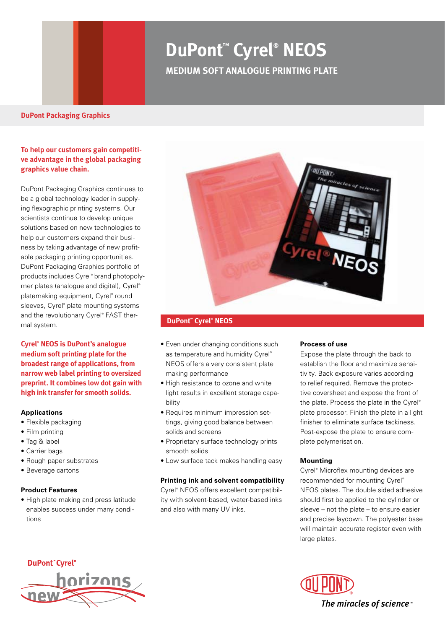# **DuPont™ Cyrel® NEOS Medium SOFT ANALOGUE PRINTING PLATE**

#### **DuPont Packaging Graphics**

# **To help our customers gain competitive advantage in the global packaging graphics value chain.**

DuPont Packaging Graphics continues to be a global technology leader in supplying flexographic printing systems. Our scientists continue to develop unique solutions based on new technologies to help our customers expand their business by taking advantage of new profitable packaging printing opportunities. DuPont Packaging Graphics portfolio of products includes Cyrel® brand photopolymer plates (analogue and digital), Cyrel® platemaking equipment, Cyrel® round sleeves, Cyrel® plate mounting systems and the revolutionary Cyrel® FAST thermal system.

**Cyrel® NEOS is DuPont's analogue medium soft printing plate for the broadest range of applications, from narrow web label printing to oversized preprint. It combines low dot gain with high ink transfer for smooth solids.**

#### **Applications**

- Flexible packaging
- Film printing
- Tag & label
- Carrier bags
- Rough paper substrates
- Beverage cartons

#### **Product Features**

• High plate making and press latitude enables success under many conditions



### **DuPont™ Cyrel® NEOS**

- Even under changing conditions such as temperature and humidity Cyrel® NEOS offers a very consistent plate making performance
- High resistance to ozone and white light results in excellent storage capability
- Requires minimum impression settings, giving good balance between solids and screens
- Proprietary surface technology prints smooth solids
- Low surface tack makes handling easy

#### **Printing ink and solvent compatibility**

Cyrel® NEOS offers excellent compatibility with solvent-based, water-based inks and also with many UV inks.

#### **Process of use**

Expose the plate through the back to establish the floor and maximize sensitivity. Back exposure varies according to relief required. Remove the protective coversheet and expose the front of the plate. Process the plate in the Cyrel® plate processor. Finish the plate in a light finisher to eliminate surface tackiness. Post-expose the plate to ensure complete polymerisation.

#### **Mounting**

Cyrel® Microflex mounting devices are recommended for mounting Cyrel® NEOS plates. The double sided adhesive should first be applied to the cylinder or sleeve – not the plate – to ensure easier and precise laydown. The polyester base will maintain accurate register even with large plates.